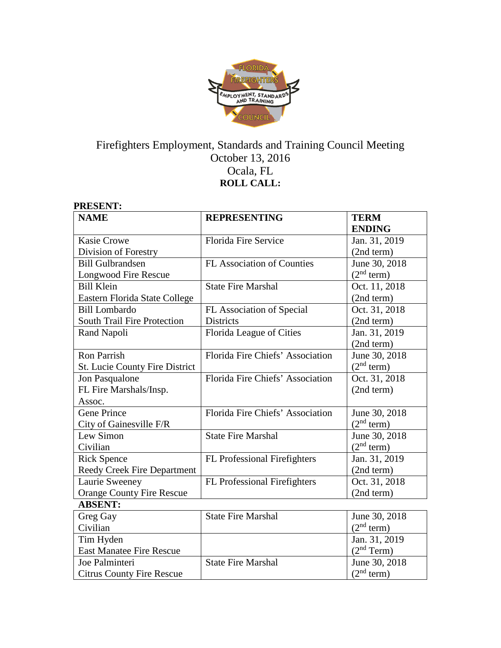

# Firefighters Employment, Standards and Training Council Meeting October 13, 2016 Ocala, FL **ROLL CALL:**

#### **PRESENT:**

| 11 JULIE 1 1 1                        |                                   |                        |
|---------------------------------------|-----------------------------------|------------------------|
| <b>NAME</b>                           | <b>REPRESENTING</b>               | <b>TERM</b>            |
|                                       |                                   | <b>ENDING</b>          |
| <b>Kasie Crowe</b>                    | <b>Florida Fire Service</b>       | Jan. 31, 2019          |
| Division of Forestry                  |                                   | (2nd term)             |
| <b>Bill Gulbrandsen</b>               | <b>FL Association of Counties</b> | June 30, 2018          |
| Longwood Fire Rescue                  |                                   | (2 <sup>nd</sup> term) |
| <b>Bill Klein</b>                     | <b>State Fire Marshal</b>         | Oct. 11, 2018          |
| Eastern Florida State College         |                                   | (2nd term)             |
| <b>Bill Lombardo</b>                  | FL Association of Special         | Oct. 31, 2018          |
| South Trail Fire Protection           | <b>Districts</b>                  | (2nd term)             |
| Rand Napoli                           | Florida League of Cities          | Jan. 31, 2019          |
|                                       |                                   | (2nd term)             |
| <b>Ron Parrish</b>                    | Florida Fire Chiefs' Association  | June 30, 2018          |
| <b>St. Lucie County Fire District</b> |                                   | (2 <sup>nd</sup> term) |
| Jon Pasqualone                        | Florida Fire Chiefs' Association  | Oct. 31, 2018          |
| FL Fire Marshals/Insp.                |                                   | (2nd term)             |
| Assoc.                                |                                   |                        |
| <b>Gene Prince</b>                    | Florida Fire Chiefs' Association  | June 30, 2018          |
| City of Gainesville F/R               |                                   | (2 <sup>nd</sup> term) |
| Lew Simon                             | <b>State Fire Marshal</b>         | June 30, 2018          |
| Civilian                              |                                   | (2 <sup>nd</sup> term) |
| <b>Rick Spence</b>                    | FL Professional Firefighters      | Jan. 31, 2019          |
| <b>Reedy Creek Fire Department</b>    |                                   | (2nd term)             |
| Laurie Sweeney                        | FL Professional Firefighters      | Oct. 31, 2018          |
| <b>Orange County Fire Rescue</b>      |                                   | (2nd term)             |
| <b>ABSENT:</b>                        |                                   |                        |
| Greg Gay                              | <b>State Fire Marshal</b>         | June 30, 2018          |
| Civilian                              |                                   | (2 <sup>nd</sup> term) |
| Tim Hyden                             |                                   | Jan. 31, 2019          |
| <b>East Manatee Fire Rescue</b>       |                                   | (2 <sup>nd</sup> Term) |
| Joe Palminteri                        | <b>State Fire Marshal</b>         | June 30, 2018          |
| <b>Citrus County Fire Rescue</b>      |                                   | (2 <sup>nd</sup> term) |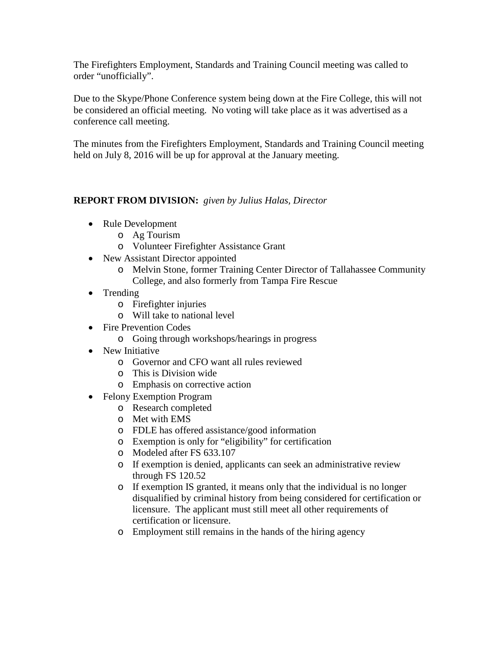The Firefighters Employment, Standards and Training Council meeting was called to order "unofficially".

Due to the Skype/Phone Conference system being down at the Fire College, this will not be considered an official meeting. No voting will take place as it was advertised as a conference call meeting.

The minutes from the Firefighters Employment, Standards and Training Council meeting held on July 8, 2016 will be up for approval at the January meeting.

## **REPORT FROM DIVISION:** *given by Julius Halas, Director*

- Rule Development
	- o Ag Tourism
	- o Volunteer Firefighter Assistance Grant
- New Assistant Director appointed
	- o Melvin Stone, former Training Center Director of Tallahassee Community College, and also formerly from Tampa Fire Rescue
- Trending
	- o Firefighter injuries
	- o Will take to national level
- Fire Prevention Codes
	- o Going through workshops/hearings in progress
- New Initiative
	- o Governor and CFO want all rules reviewed
	- o This is Division wide
	- o Emphasis on corrective action
- Felony Exemption Program
	- o Research completed
	- o Met with EMS
	- o FDLE has offered assistance/good information
	- o Exemption is only for "eligibility" for certification
	- o Modeled after FS 633.107
	- o If exemption is denied, applicants can seek an administrative review through FS 120.52
	- o If exemption IS granted, it means only that the individual is no longer disqualified by criminal history from being considered for certification or licensure. The applicant must still meet all other requirements of certification or licensure.
	- o Employment still remains in the hands of the hiring agency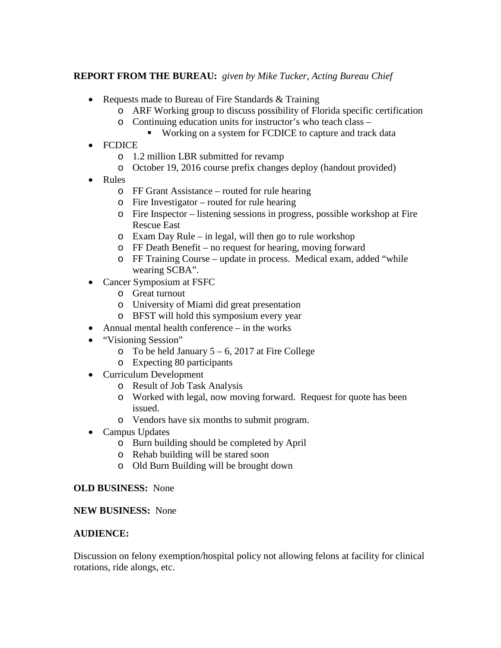## **REPORT FROM THE BUREAU:** *given by Mike Tucker, Acting Bureau Chief*

- Requests made to Bureau of Fire Standards & Training
	- o ARF Working group to discuss possibility of Florida specific certification
	- o Continuing education units for instructor's who teach class
		- **Working on a system for FCDICE to capture and track data**
- FCDICE
	- o 1.2 million LBR submitted for revamp
	- o October 19, 2016 course prefix changes deploy (handout provided)
- Rules
	- o FF Grant Assistance routed for rule hearing
	- o Fire Investigator routed for rule hearing
	- o Fire Inspector listening sessions in progress, possible workshop at Fire Rescue East
	- o Exam Day Rule in legal, will then go to rule workshop
	- o FF Death Benefit no request for hearing, moving forward
	- o FF Training Course update in process. Medical exam, added "while wearing SCBA".
- Cancer Symposium at FSFC
	- o Great turnout
	- o University of Miami did great presentation
	- o BFST will hold this symposium every year
- Annual mental health conference in the works
- "Visioning Session"
	- $\circ$  To be held January 5 6, 2017 at Fire College
	- o Expecting 80 participants
- Curriculum Development
	- o Result of Job Task Analysis
	- o Worked with legal, now moving forward. Request for quote has been issued.
	- o Vendors have six months to submit program.
- Campus Updates
	- o Burn building should be completed by April
	- o Rehab building will be stared soon
	- o Old Burn Building will be brought down

#### **OLD BUSINESS:** None

#### **NEW BUSINESS:** None

#### **AUDIENCE:**

Discussion on felony exemption/hospital policy not allowing felons at facility for clinical rotations, ride alongs, etc.